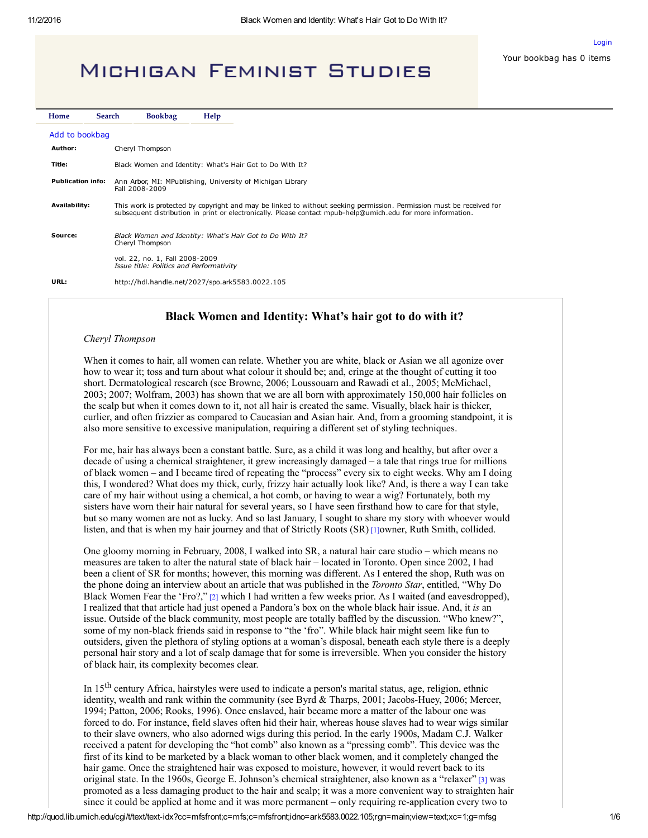Your bookbag has 0 items

[Login](https://quod.lib.umich.edu/m/mfsfront/ark5583.0022.105/--black-women-and-identity-whats-hair-got-to-do-with-it?c=mfs;c=mfsfront;g=mfsg;rgn=main;view=fulltext;xc=1)

# **MICHIGAN FEMINIST STUDIES**

| Home                     | <b>Search</b> |                                                                              | <b>Bookbag</b>                                                                                                                                                                                                                       | Help |
|--------------------------|---------------|------------------------------------------------------------------------------|--------------------------------------------------------------------------------------------------------------------------------------------------------------------------------------------------------------------------------------|------|
| Add to bookbag           |               |                                                                              |                                                                                                                                                                                                                                      |      |
| Author:                  |               |                                                                              | Cheryl Thompson                                                                                                                                                                                                                      |      |
| Title:                   |               |                                                                              | Black Women and Identity: What's Hair Got to Do With It?                                                                                                                                                                             |      |
| <b>Publication info:</b> |               | Ann Arbor, MI: MPublishing, University of Michigan Library<br>Fall 2008-2009 |                                                                                                                                                                                                                                      |      |
| Availability:            |               |                                                                              | This work is protected by copyright and may be linked to without seeking permission. Permission must be received for<br>subsequent distribution in print or electronically. Please contact mpub-help@umich.edu for more information. |      |
| Source:                  |               | Cheryl Thompson                                                              | Black Women and Identity: What's Hair Got to Do With It?                                                                                                                                                                             |      |
|                          |               |                                                                              | vol. 22, no. 1, Fall 2008-2009<br>Issue title: Politics and Performativity                                                                                                                                                           |      |
| URL:                     |               |                                                                              | http://hdl.handle.net/2027/spo.ark5583.0022.105                                                                                                                                                                                      |      |

# Black Women and Identity: What's hair got to do with it?

### Cheryl Thompson

When it comes to hair, all women can relate. Whether you are white, black or Asian we all agonize over how to wear it; toss and turn about what colour it should be; and, cringe at the thought of cutting it too short. Dermatological research (see Browne, 2006; Loussouarn and Rawadi et al., 2005; McMichael, 2003; 2007; Wolfram, 2003) has shown that we are all born with approximately 150,000 hair follicles on the scalp but when it comes down to it, not all hair is created the same. Visually, black hair is thicker, curlier, and often frizzier as compared to Caucasian and Asian hair. And, from a grooming standpoint, it is also more sensitive to excessive manipulation, requiring a different set of styling techniques.

For me, hair has always been a constant battle. Sure, as a child it was long and healthy, but after over a decade of using a chemical straightener, it grew increasingly damaged – a tale that rings true for millions of black women – and I became tired of repeating the "process" every six to eight weeks. Why am I doing this, I wondered? What does my thick, curly, frizzy hair actually look like? And, is there a way I can take care of my hair without using a chemical, a hot comb, or having to wear a wig? Fortunately, both my sisters have worn their hair natural for several years, so I have seen firsthand how to care for that style, but so many women are not as lucky. And so last January, I sought to share my story with whoever would listen, and that is when my hair journey and that of Strictly Roots (SR) [\[1\]](http://quod.lib.umich.edu/m/mfsfront/ark5583.0022.105/--black-women-and-identity-whats-hair-got-to-do-with-it?c=mfs;c=mfsfront;g=mfsg;id=N1;note=ptr;rgn=main;view=trgt;xc=1)owner, Ruth Smith, collided.

One gloomy morning in February, 2008, I walked into SR, a natural hair care studio – which means no measures are taken to alter the natural state of black hair – located in Toronto. Open since 2002, I had been a client of SR for months; however, this morning was different. As I entered the shop, Ruth was on the phone doing an interview about an article that was published in the *Toronto Star*, entitled, "Why Do Black Women Fear the 'Fro?," [\[2\]](http://quod.lib.umich.edu/m/mfsfront/ark5583.0022.105/--black-women-and-identity-whats-hair-got-to-do-with-it?c=mfs;c=mfsfront;g=mfsg;id=N2;note=ptr;rgn=main;view=trgt;xc=1) which I had written a few weeks prior. As I waited (and eavesdropped), I realized that that article had just opened a Pandora's box on the whole black hair issue. And, it is an issue. Outside of the black community, most people are totally baffled by the discussion. "Who knew?", some of my non-black friends said in response to "the 'fro". While black hair might seem like fun to outsiders, given the plethora of styling options at a woman's disposal, beneath each style there is a deeply personal hair story and a lot of scalp damage that for some is irreversible. When you consider the history of black hair, its complexity becomes clear.

In 15<sup>th</sup> century Africa, hairstyles were used to indicate a person's marital status, age, religion, ethnic identity, wealth and rank within the community (see Byrd & Tharps, 2001; Jacobs-Huey, 2006; Mercer, 1994; Patton, 2006; Rooks, 1996). Once enslaved, hair became more a matter of the labour one was forced to do. For instance, field slaves often hid their hair, whereas house slaves had to wear wigs similar to their slave owners, who also adorned wigs during this period. In the early 1900s, Madam C.J. Walker received a patent for developing the "hot comb" also known as a "pressing comb". This device was the first of its kind to be marketed by a black woman to other black women, and it completely changed the hair game. Once the straightened hair was exposed to moisture, however, it would revert back to its original state. In the 1960s, George E. Johnson's chemical straightener, also known as a "relaxer" [\[3\]](http://quod.lib.umich.edu/m/mfsfront/ark5583.0022.105/--black-women-and-identity-whats-hair-got-to-do-with-it?c=mfs;c=mfsfront;g=mfsg;id=N3;note=ptr;rgn=main;view=trgt;xc=1) was promoted as a less damaging product to the hair and scalp; it was a more convenient way to straighten hair since it could be applied at home and it was more permanent – only requiring re-application every two to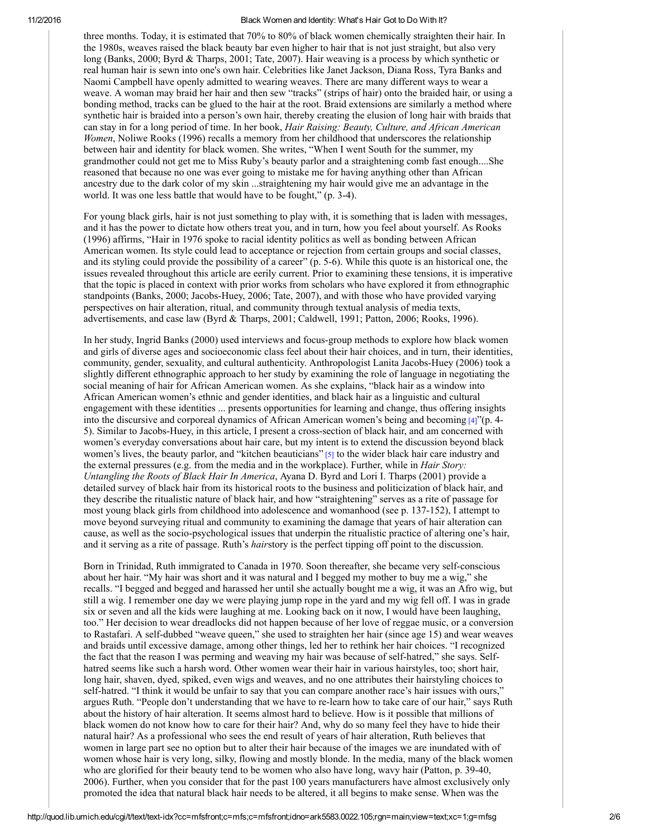three months. Today, it is estimated that 70% to 80% of black women chemically straighten their hair. In the 1980s, weaves raised the black beauty bar even higher to hair that is not just straight, but also very long (Banks, 2000; Byrd & Tharps, 2001; Tate, 2007). Hair weaving is a process by which synthetic or real human hair is sewn into one's own hair. Celebrities like Janet Jackson, Diana Ross, Tyra Banks and Naomi Campbell have openly admitted to wearing weaves. There are many different ways to wear a weave. A woman may braid her hair and then sew "tracks" (strips of hair) onto the braided hair, or using a bonding method, tracks can be glued to the hair at the root. Braid extensions are similarly a method where synthetic hair is braided into a person's own hair, thereby creating the elusion of long hair with braids that can stay in for a long period of time. In her book, Hair Raising: Beauty, Culture, and African American Women, Noliwe Rooks (1996) recalls a memory from her childhood that underscores the relationship between hair and identity for black women. She writes, "When I went South for the summer, my grandmother could not get me to Miss Ruby's beauty parlor and a straightening comb fast enough....She reasoned that because no one was ever going to mistake me for having anything other than African ancestry due to the dark color of my skin ...straightening my hair would give me an advantage in the world. It was one less battle that would have to be fought," (p. 3-4).

For young black girls, hair is not just something to play with, it is something that is laden with messages, and it has the power to dictate how others treat you, and in turn, how you feel about yourself. As Rooks (1996) affirms, "Hair in 1976 spoke to racial identity politics as well as bonding between African American women. Its style could lead to acceptance or rejection from certain groups and social classes, and its styling could provide the possibility of a career" (p. 5-6). While this quote is an historical one, the issues revealed throughout this article are eerily current. Prior to examining these tensions, it is imperative that the topic is placed in context with prior works from scholars who have explored it from ethnographic standpoints (Banks, 2000; Jacobs-Huey, 2006; Tate, 2007), and with those who have provided varying perspectives on hair alteration, ritual, and community through textual analysis of media texts, advertisements, and case law (Byrd & Tharps, 2001; Caldwell, 1991; Patton, 2006; Rooks, 1996).

In her study, Ingrid Banks (2000) used interviews and focus-group methods to explore how black women and girls of diverse ages and socioeconomic class feel about their hair choices, and in turn, their identities, community, gender, sexuality, and cultural authenticity. Anthropologist Lanita Jacobs-Huey (2006) took a slightly different ethnographic approach to her study by examining the role of language in negotiating the social meaning of hair for African American women. As she explains, "black hair as a window into African American women's ethnic and gender identities, and black hair as a linguistic and cultural engagement with these identities ... presents opportunities for learning and change, thus offering insights into the discursive and corporeal dynamics of African American women's being and becoming  $[4]$ "(p. 4-5). Similar to Jacobs-Huey, in this article, I present a cross-section of black hair, and am concerned with women's everyday conversations about hair care, but my intent is to extend the discussion beyond black women's lives, the beauty parlor, and "kitchen beauticians" [\[5\]](http://quod.lib.umich.edu/m/mfsfront/ark5583.0022.105/--black-women-and-identity-whats-hair-got-to-do-with-it?c=mfs;c=mfsfront;g=mfsg;id=N5;note=ptr;rgn=main;view=trgt;xc=1) to the wider black hair care industry and the external pressures (e.g. from the media and in the workplace). Further, while in *Hair Story*: Untangling the Roots of Black Hair In America, Ayana D. Byrd and Lori I. Tharps (2001) provide a detailed survey of black hair from its historical roots to the business and politicization of black hair, and they describe the ritualistic nature of black hair, and how "straightening" serves as a rite of passage for most young black girls from childhood into adolescence and womanhood (see p. 137152), I attempt to move beyond surveying ritual and community to examining the damage that years of hair alteration can cause, as well as the socio-psychological issues that underpin the ritualistic practice of altering one's hair, and it serving as a rite of passage. Ruth's hairstory is the perfect tipping off point to the discussion.

Born in Trinidad, Ruth immigrated to Canada in 1970. Soon thereafter, she became very self-conscious about her hair. "My hair was short and it was natural and I begged my mother to buy me a wig," she recalls. "I begged and begged and harassed her until she actually bought me a wig, it was an Afro wig, but still a wig. I remember one day we were playing jump rope in the yard and my wig fell off. I was in grade six or seven and all the kids were laughing at me. Looking back on it now, I would have been laughing, too." Her decision to wear dreadlocks did not happen because of her love of reggae music, or a conversion to Rastafari. A self-dubbed "weave queen," she used to straighten her hair (since age 15) and wear weaves and braids until excessive damage, among other things, led her to rethink her hair choices. "I recognized the fact that the reason I was perming and weaving my hair was because of self-hatred," she says. Selfhatred seems like such a harsh word. Other women wear their hair in various hairstyles, too; short hair, long hair, shaven, dyed, spiked, even wigs and weaves, and no one attributes their hairstyling choices to self-hatred. "I think it would be unfair to say that you can compare another race's hair issues with ours," argues Ruth. "People don't understanding that we have to re-learn how to take care of our hair," says Ruth about the history of hair alteration. It seems almost hard to believe. How is it possible that millions of black women do not know how to care for their hair? And, why do so many feel they have to hide their natural hair? As a professional who sees the end result of years of hair alteration, Ruth believes that women in large part see no option but to alter their hair because of the images we are inundated with of women whose hair is very long, silky, flowing and mostly blonde. In the media, many of the black women who are glorified for their beauty tend to be women who also have long, wavy hair (Patton, p. 3940, 2006). Further, when you consider that for the past 100 years manufacturers have almost exclusively only promoted the idea that natural black hair needs to be altered, it all begins to make sense. When was the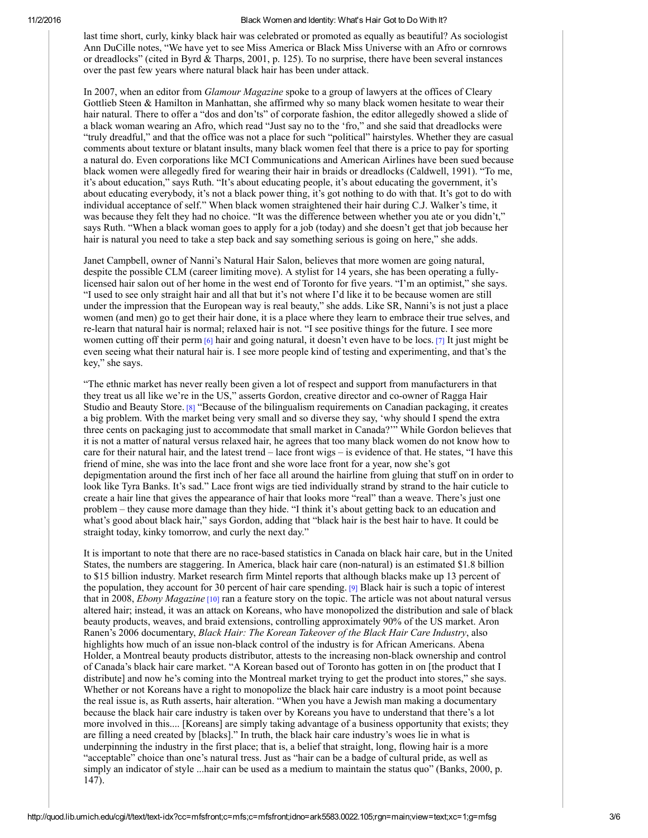last time short, curly, kinky black hair was celebrated or promoted as equally as beautiful? As sociologist Ann DuCille notes, "We have yet to see Miss America or Black Miss Universe with an Afro or cornrows or dreadlocks" (cited in Byrd & Tharps, 2001, p. 125). To no surprise, there have been several instances over the past few years where natural black hair has been under attack.

In 2007, when an editor from *Glamour Magazine* spoke to a group of lawyers at the offices of Cleary Gottlieb Steen & Hamilton in Manhattan, she affirmed why so many black women hesitate to wear their hair natural. There to offer a "dos and don'ts" of corporate fashion, the editor allegedly showed a slide of a black woman wearing an Afro, which read "Just say no to the 'fro," and she said that dreadlocks were "truly dreadful," and that the office was not a place for such "political" hairstyles. Whether they are casual comments about texture or blatant insults, many black women feel that there is a price to pay for sporting a natural do. Even corporations like MCI Communications and American Airlines have been sued because black women were allegedly fired for wearing their hair in braids or dreadlocks (Caldwell, 1991). "To me, it's about education," says Ruth. "It's about educating people, it's about educating the government, it's about educating everybody, it's not a black power thing, it's got nothing to do with that. It's got to do with individual acceptance of self." When black women straightened their hair during C.J. Walker's time, it was because they felt they had no choice. "It was the difference between whether you ate or you didn't," says Ruth. "When a black woman goes to apply for a job (today) and she doesn't get that job because her hair is natural you need to take a step back and say something serious is going on here," she adds.

Janet Campbell, owner of Nanni's Natural Hair Salon, believes that more women are going natural, despite the possible CLM (career limiting move). A stylist for 14 years, she has been operating a fullylicensed hair salon out of her home in the west end of Toronto for five years. "I'm an optimist," she says. "I used to see only straight hair and all that but it's not where I'd like it to be because women are still under the impression that the European way is real beauty," she adds. Like SR, Nanni's is not just a place women (and men) go to get their hair done, it is a place where they learn to embrace their true selves, and relearn that natural hair is normal; relaxed hair is not. "I see positive things for the future. I see more women cutting off their perm [\[6\]](http://quod.lib.umich.edu/m/mfsfront/ark5583.0022.105/--black-women-and-identity-whats-hair-got-to-do-with-it?c=mfs;c=mfsfront;g=mfsg;id=N6;note=ptr;rgn=main;view=trgt;xc=1) hair and going natural, it doesn't even have to be locs. [\[7\]](http://quod.lib.umich.edu/m/mfsfront/ark5583.0022.105/--black-women-and-identity-whats-hair-got-to-do-with-it?c=mfs;c=mfsfront;g=mfsg;id=N7;note=ptr;rgn=main;view=trgt;xc=1) It just might be even seeing what their natural hair is. I see more people kind of testing and experimenting, and that's the key," she says.

"The ethnic market has never really been given a lot of respect and support from manufacturers in that they treat us all like we're in the US," asserts Gordon, creative director and co-owner of Ragga Hair Studio and Beauty Store. [\[8\]](http://quod.lib.umich.edu/m/mfsfront/ark5583.0022.105/--black-women-and-identity-whats-hair-got-to-do-with-it?c=mfs;c=mfsfront;g=mfsg;id=N8;note=ptr;rgn=main;view=trgt;xc=1) "Because of the bilingualism requirements on Canadian packaging, it creates a big problem. With the market being very small and so diverse they say, 'why should I spend the extra three cents on packaging just to accommodate that small market in Canada?'" While Gordon believes that it is not a matter of natural versus relaxed hair, he agrees that too many black women do not know how to care for their natural hair, and the latest trend – lace front wigs – is evidence of that. He states, "I have this friend of mine, she was into the lace front and she wore lace front for a year, now she's got depigmentation around the first inch of her face all around the hairline from gluing that stuff on in order to look like Tyra Banks. It's sad." Lace front wigs are tied individually strand by strand to the hair cuticle to create a hair line that gives the appearance of hair that looks more "real" than a weave. There's just one problem – they cause more damage than they hide. "I think it's about getting back to an education and what's good about black hair," says Gordon, adding that "black hair is the best hair to have. It could be straight today, kinky tomorrow, and curly the next day."

It is important to note that there are no racebased statistics in Canada on black hair care, but in the United States, the numbers are staggering. In America, black hair care (non-natural) is an estimated \$1.8 billion to \$15 billion industry. Market research firm Mintel reports that although blacks make up 13 percent of the population, they account for 30 percent of hair care spending. [\[9\]](http://quod.lib.umich.edu/m/mfsfront/ark5583.0022.105/--black-women-and-identity-whats-hair-got-to-do-with-it?c=mfs;c=mfsfront;g=mfsg;id=N9;note=ptr;rgn=main;view=trgt;xc=1) Black hair is such a topic of interest that in 2008, *Ebony Magazine* [\[10\]](http://quod.lib.umich.edu/m/mfsfront/ark5583.0022.105/--black-women-and-identity-whats-hair-got-to-do-with-it?c=mfs;c=mfsfront;g=mfsg;id=N10;note=ptr;rgn=main;view=trgt;xc=1) ran a feature story on the topic. The article was not about natural versus altered hair; instead, it was an attack on Koreans, who have monopolized the distribution and sale of black beauty products, weaves, and braid extensions, controlling approximately 90% of the US market. Aron Ranen's 2006 documentary, Black Hair: The Korean Takeover of the Black Hair Care Industry, also highlights how much of an issue non-black control of the industry is for African Americans. Abena Holder, a Montreal beauty products distributor, attests to the increasing non-black ownership and control of Canada's black hair care market. "A Korean based out of Toronto has gotten in on [the product that I distribute] and now he's coming into the Montreal market trying to get the product into stores," she says. Whether or not Koreans have a right to monopolize the black hair care industry is a moot point because the real issue is, as Ruth asserts, hair alteration. "When you have a Jewish man making a documentary because the black hair care industry is taken over by Koreans you have to understand that there's a lot more involved in this.... [Koreans] are simply taking advantage of a business opportunity that exists; they are filling a need created by [blacks]." In truth, the black hair care industry's woes lie in what is underpinning the industry in the first place; that is, a belief that straight, long, flowing hair is a more "acceptable" choice than one's natural tress. Just as "hair can be a badge of cultural pride, as well as simply an indicator of style ...hair can be used as a medium to maintain the status quo" (Banks, 2000, p. 147).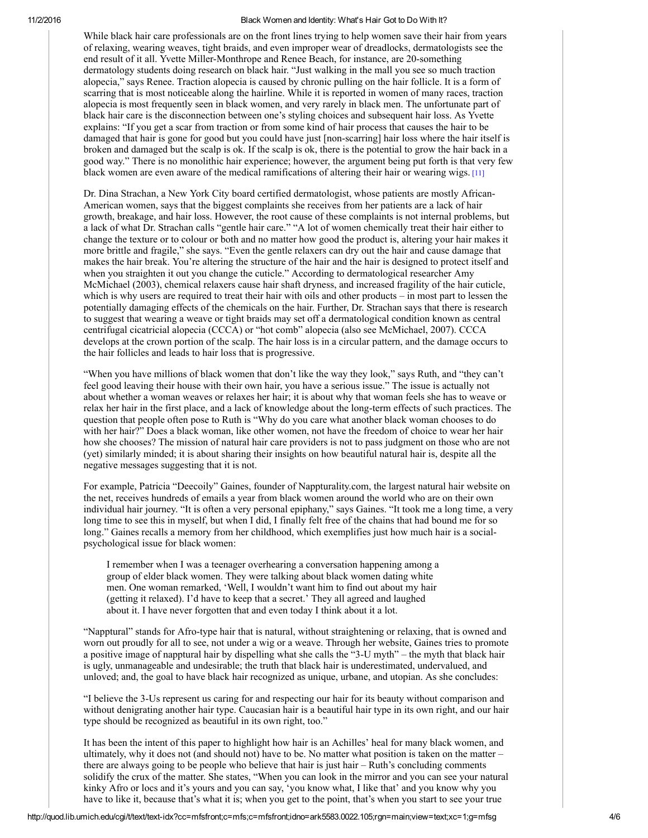While black hair care professionals are on the front lines trying to help women save their hair from years of relaxing, wearing weaves, tight braids, and even improper wear of dreadlocks, dermatologists see the end result of it all. Yvette Miller-Monthrope and Renee Beach, for instance, are 20-something dermatology students doing research on black hair. "Just walking in the mall you see so much traction alopecia," says Renee. Traction alopecia is caused by chronic pulling on the hair follicle. It is a form of scarring that is most noticeable along the hairline. While it is reported in women of many races, traction alopecia is most frequently seen in black women, and very rarely in black men. The unfortunate part of black hair care is the disconnection between one's styling choices and subsequent hair loss. As Yvette explains: "If you get a scar from traction or from some kind of hair process that causes the hair to be damaged that hair is gone for good but you could have just [non-scarring] hair loss where the hair itself is broken and damaged but the scalp is ok. If the scalp is ok, there is the potential to grow the hair back in a good way." There is no monolithic hair experience; however, the argument being put forth is that very few black women are even aware of the medical ramifications of altering their hair or wearing wigs. [\[11\]](http://quod.lib.umich.edu/m/mfsfront/ark5583.0022.105/--black-women-and-identity-whats-hair-got-to-do-with-it?c=mfs;c=mfsfront;g=mfsg;id=N11;note=ptr;rgn=main;view=trgt;xc=1)

Dr. Dina Strachan, a New York City board certified dermatologist, whose patients are mostly African-American women, says that the biggest complaints she receives from her patients are a lack of hair growth, breakage, and hair loss. However, the root cause of these complaints is not internal problems, but a lack of what Dr. Strachan calls "gentle hair care." "A lot of women chemically treat their hair either to change the texture or to colour or both and no matter how good the product is, altering your hair makes it more brittle and fragile," she says. "Even the gentle relaxers can dry out the hair and cause damage that makes the hair break. You're altering the structure of the hair and the hair is designed to protect itself and when you straighten it out you change the cuticle." According to dermatological researcher Amy McMichael (2003), chemical relaxers cause hair shaft dryness, and increased fragility of the hair cuticle, which is why users are required to treat their hair with oils and other products – in most part to lessen the potentially damaging effects of the chemicals on the hair. Further, Dr. Strachan says that there is research to suggest that wearing a weave or tight braids may set off a dermatological condition known as central centrifugal cicatricial alopecia (CCCA) or "hot comb" alopecia (also see McMichael, 2007). CCCA develops at the crown portion of the scalp. The hair loss is in a circular pattern, and the damage occurs to the hair follicles and leads to hair loss that is progressive.

"When you have millions of black women that don't like the way they look," says Ruth, and "they can't feel good leaving their house with their own hair, you have a serious issue." The issue is actually not about whether a woman weaves or relaxes her hair; it is about why that woman feels she has to weave or relax her hair in the first place, and a lack of knowledge about the long-term effects of such practices. The question that people often pose to Ruth is "Why do you care what another black woman chooses to do with her hair?" Does a black woman, like other women, not have the freedom of choice to wear her hair how she chooses? The mission of natural hair care providers is not to pass judgment on those who are not (yet) similarly minded; it is about sharing their insights on how beautiful natural hair is, despite all the negative messages suggesting that it is not.

For example, Patricia "Deecoily" Gaines, founder of Nappturality.com, the largest natural hair website on the net, receives hundreds of emails a year from black women around the world who are on their own individual hair journey. "It is often a very personal epiphany," says Gaines. "It took me a long time, a very long time to see this in myself, but when I did, I finally felt free of the chains that had bound me for so long." Gaines recalls a memory from her childhood, which exemplifies just how much hair is a socialpsychological issue for black women:

I remember when I was a teenager overhearing a conversation happening among a group of elder black women. They were talking about black women dating white men. One woman remarked, 'Well, I wouldn't want him to find out about my hair (getting it relaxed). I'd have to keep that a secret.' They all agreed and laughed about it. I have never forgotten that and even today I think about it a lot.

"Napptural" stands for Afro-type hair that is natural, without straightening or relaxing, that is owned and worn out proudly for all to see, not under a wig or a weave. Through her website, Gaines tries to promote a positive image of napptural hair by dispelling what she calls the "3-U myth" – the myth that black hair is ugly, unmanageable and undesirable; the truth that black hair is underestimated, undervalued, and unloved; and, the goal to have black hair recognized as unique, urbane, and utopian. As she concludes:

"I believe the 3Us represent us caring for and respecting our hair for its beauty without comparison and without denigrating another hair type. Caucasian hair is a beautiful hair type in its own right, and our hair type should be recognized as beautiful in its own right, too."

It has been the intent of this paper to highlight how hair is an Achilles' heal for many black women, and ultimately, why it does not (and should not) have to be. No matter what position is taken on the matter – there are always going to be people who believe that hair is just hair – Ruth's concluding comments solidify the crux of the matter. She states, "When you can look in the mirror and you can see your natural kinky Afro or locs and it's yours and you can say, 'you know what, I like that' and you know why you have to like it, because that's what it is; when you get to the point, that's when you start to see your true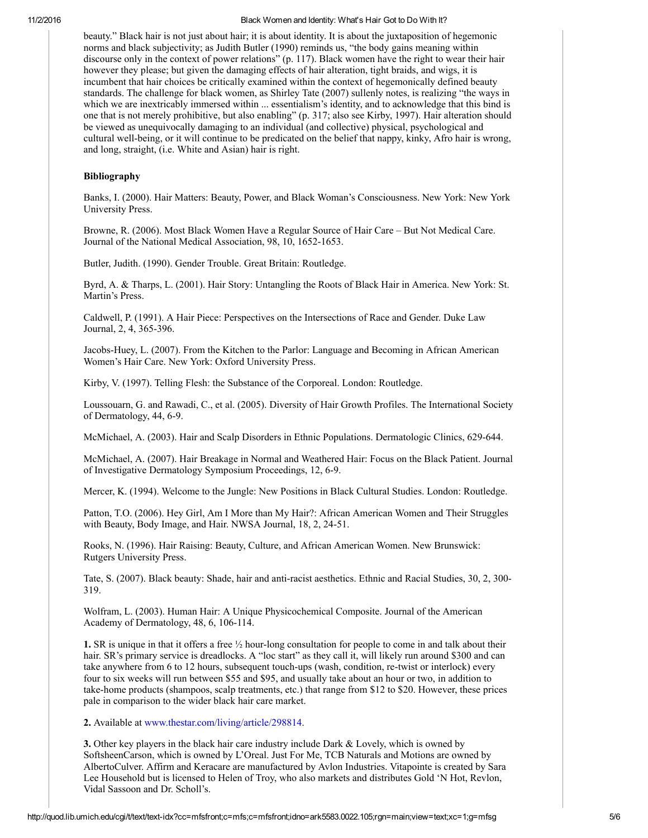beauty." Black hair is not just about hair; it is about identity. It is about the juxtaposition of hegemonic norms and black subjectivity; as Judith Butler (1990) reminds us, "the body gains meaning within discourse only in the context of power relations" (p. 117). Black women have the right to wear their hair however they please; but given the damaging effects of hair alteration, tight braids, and wigs, it is incumbent that hair choices be critically examined within the context of hegemonically defined beauty standards. The challenge for black women, as Shirley Tate (2007) sullenly notes, is realizing "the ways in which we are inextricably immersed within ... essentialism's identity, and to acknowledge that this bind is one that is not merely prohibitive, but also enabling" (p. 317; also see Kirby, 1997). Hair alteration should be viewed as unequivocally damaging to an individual (and collective) physical, psychological and cultural well-being, or it will continue to be predicated on the belief that nappy, kinky, Afro hair is wrong, and long, straight, (i.e. White and Asian) hair is right.

## Bibliography

Banks, I. (2000). Hair Matters: Beauty, Power, and Black Woman's Consciousness. New York: New York University Press.

Browne, R. (2006). Most Black Women Have a Regular Source of Hair Care – But Not Medical Care. Journal of the National Medical Association, 98, 10, 1652-1653.

Butler, Judith. (1990). Gender Trouble. Great Britain: Routledge.

Byrd, A. & Tharps, L. (2001). Hair Story: Untangling the Roots of Black Hair in America. New York: St. Martin's Press.

Caldwell, P. (1991). A Hair Piece: Perspectives on the Intersections of Race and Gender. Duke Law Journal, 2, 4, 365-396.

JacobsHuey, L. (2007). From the Kitchen to the Parlor: Language and Becoming in African American Women's Hair Care. New York: Oxford University Press.

Kirby, V. (1997). Telling Flesh: the Substance of the Corporeal. London: Routledge.

Loussouarn, G. and Rawadi, C., et al. (2005). Diversity of Hair Growth Profiles. The International Society of Dermatology, 44, 6-9.

McMichael, A. (2003). Hair and Scalp Disorders in Ethnic Populations. Dermatologic Clinics, 629-644.

McMichael, A. (2007). Hair Breakage in Normal and Weathered Hair: Focus on the Black Patient. Journal of Investigative Dermatology Symposium Proceedings, 12, 69.

Mercer, K. (1994). Welcome to the Jungle: New Positions in Black Cultural Studies. London: Routledge.

Patton, T.O. (2006). Hey Girl, Am I More than My Hair?: African American Women and Their Struggles with Beauty, Body Image, and Hair. NWSA Journal, 18, 2, 24-51.

Rooks, N. (1996). Hair Raising: Beauty, Culture, and African American Women. New Brunswick: Rutgers University Press.

Tate, S. (2007). Black beauty: Shade, hair and anti-racist aesthetics. Ethnic and Racial Studies, 30, 2, 300-319.

Wolfram, L. (2003). Human Hair: A Unique Physicochemical Composite. Journal of the American Academy of Dermatology, 48, 6, 106-114.

1. SR is unique in that it offers a free  $\frac{1}{2}$  hour-long consultation for people to come in and talk about their hair. SR's primary service is dreadlocks. A "loc start" as they call it, will likely run around \$300 and can take anywhere from 6 to 12 hours, subsequent touch-ups (wash, condition, re-twist or interlock) every four to six weeks will run between \$55 and \$95, and usually take about an hour or two, in addition to take-home products (shampoos, scalp treatments, etc.) that range from \$12 to \$20. However, these prices pale in comparison to the wider black hair care market.

2. Available at [www.thestar.com/living/article/298814](http://www.thestar.com/living/article/298814).

3. Other key players in the black hair care industry include Dark & Lovely, which is owned by SoftsheenCarson, which is owned by L'Oreal. Just For Me, TCB Naturals and Motions are owned by AlbertoCulver. Affirm and Keracare are manufactured by Avlon Industries. Vitapointe is created by Sara Lee Household but is licensed to Helen of Troy, who also markets and distributes Gold 'N Hot, Revlon, Vidal Sassoon and Dr. Scholl's.